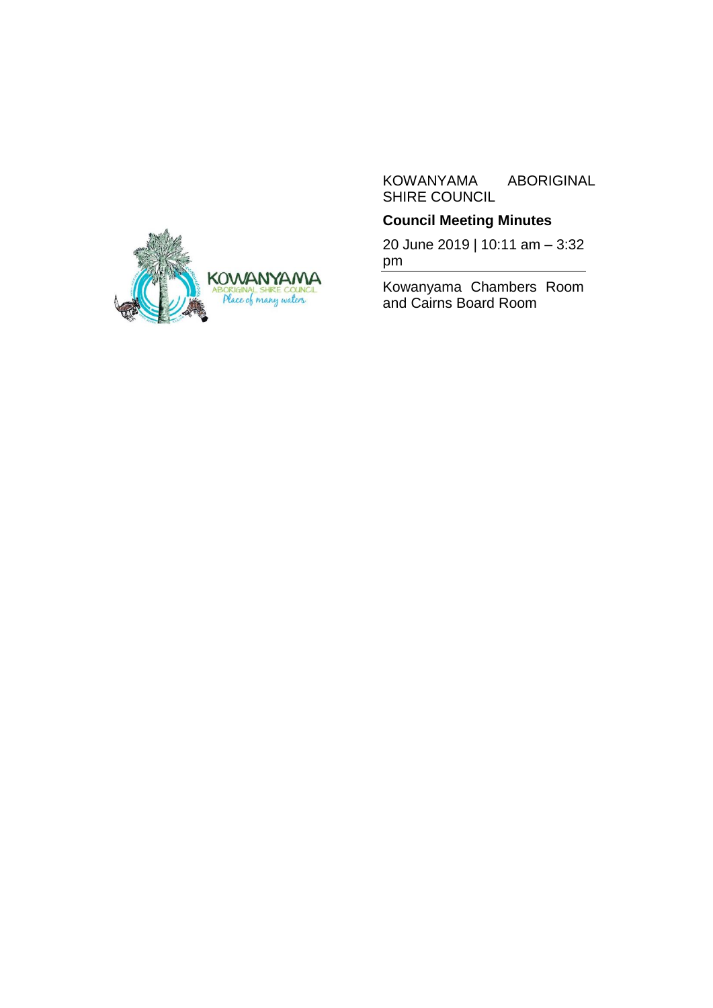

# **Council Meeting Minutes**

20 June 2019 | 10:11 am – 3:32 pm

Kowanyama Chambers Room and Cairns Board Room

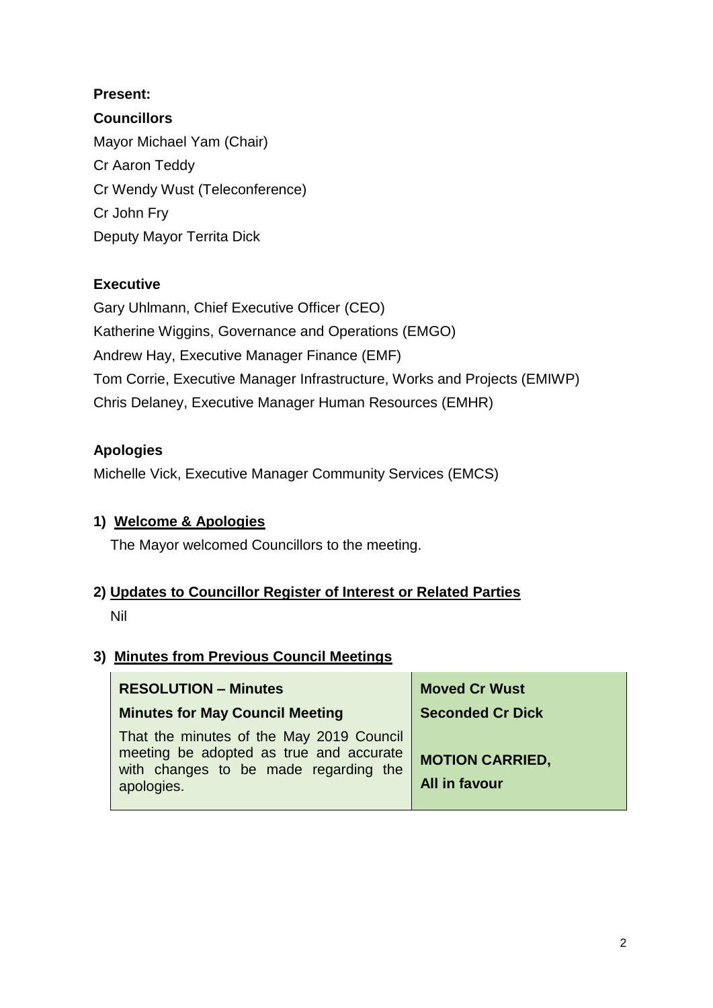# **Present:**

# **Councillors**

Mayor Michael Yam (Chair) Cr Aaron Teddy Cr Wendy Wust (Teleconference) Cr John Fry Deputy Mayor Territa Dick

# **Executive**

Gary Uhlmann, Chief Executive Officer (CEO) Katherine Wiggins, Governance and Operations (EMGO) Andrew Hay, Executive Manager Finance (EMF) Tom Corrie, Executive Manager Infrastructure, Works and Projects (EMIWP) Chris Delaney, Executive Manager Human Resources (EMHR)

# **Apologies**

Michelle Vick, Executive Manager Community Services (EMCS)

# **1) Welcome & Apologies**

The Mayor welcomed Councillors to the meeting.

# **2) Updates to Councillor Register of Interest or Related Parties**

Nil

# **3) Minutes from Previous Council Meetings**

| <b>RESOLUTION - Minutes</b>                                                                                                                | <b>Moved Cr Wust</b>                    |
|--------------------------------------------------------------------------------------------------------------------------------------------|-----------------------------------------|
| <b>Minutes for May Council Meeting</b>                                                                                                     | <b>Seconded Cr Dick</b>                 |
| That the minutes of the May 2019 Council<br>meeting be adopted as true and accurate<br>with changes to be made regarding the<br>apologies. | <b>MOTION CARRIED,</b><br>All in favour |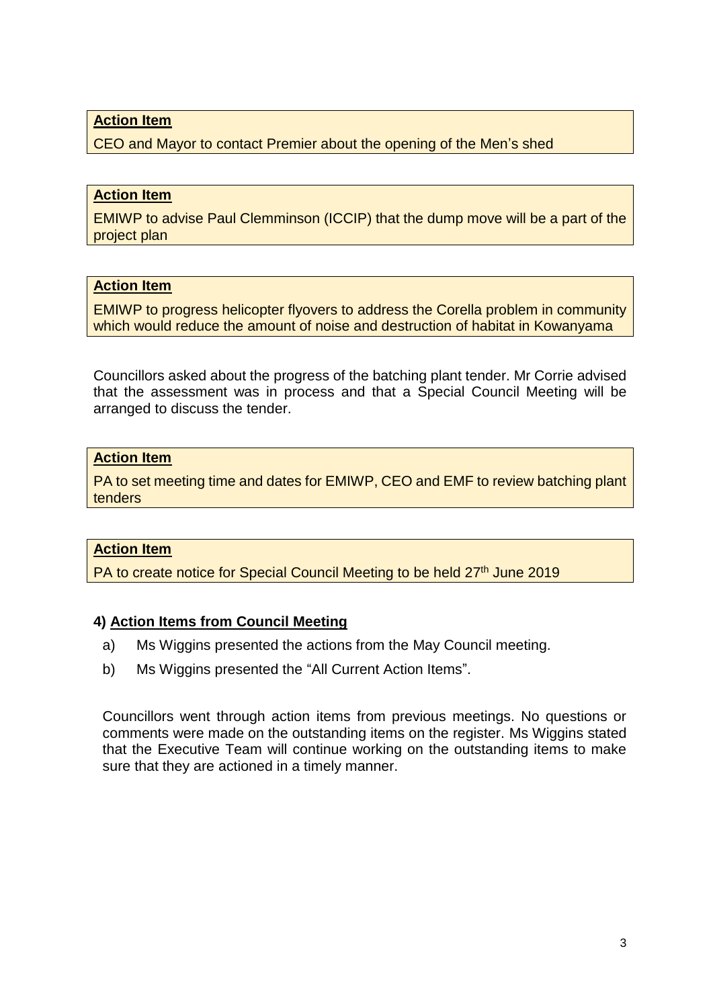CEO and Mayor to contact Premier about the opening of the Men's shed

#### **Action Item**

EMIWP to advise Paul Clemminson (ICCIP) that the dump move will be a part of the project plan

## **Action Item**

EMIWP to progress helicopter flyovers to address the Corella problem in community which would reduce the amount of noise and destruction of habitat in Kowanyama

Councillors asked about the progress of the batching plant tender. Mr Corrie advised that the assessment was in process and that a Special Council Meeting will be arranged to discuss the tender.

#### **Action Item**

PA to set meeting time and dates for EMIWP, CEO and EMF to review batching plant tenders

#### **Action Item**

PA to create notice for Special Council Meeting to be held 27<sup>th</sup> June 2019

#### **4) Action Items from Council Meeting**

- a) Ms Wiggins presented the actions from the May Council meeting.
- b) Ms Wiggins presented the "All Current Action Items".

Councillors went through action items from previous meetings. No questions or comments were made on the outstanding items on the register. Ms Wiggins stated that the Executive Team will continue working on the outstanding items to make sure that they are actioned in a timely manner.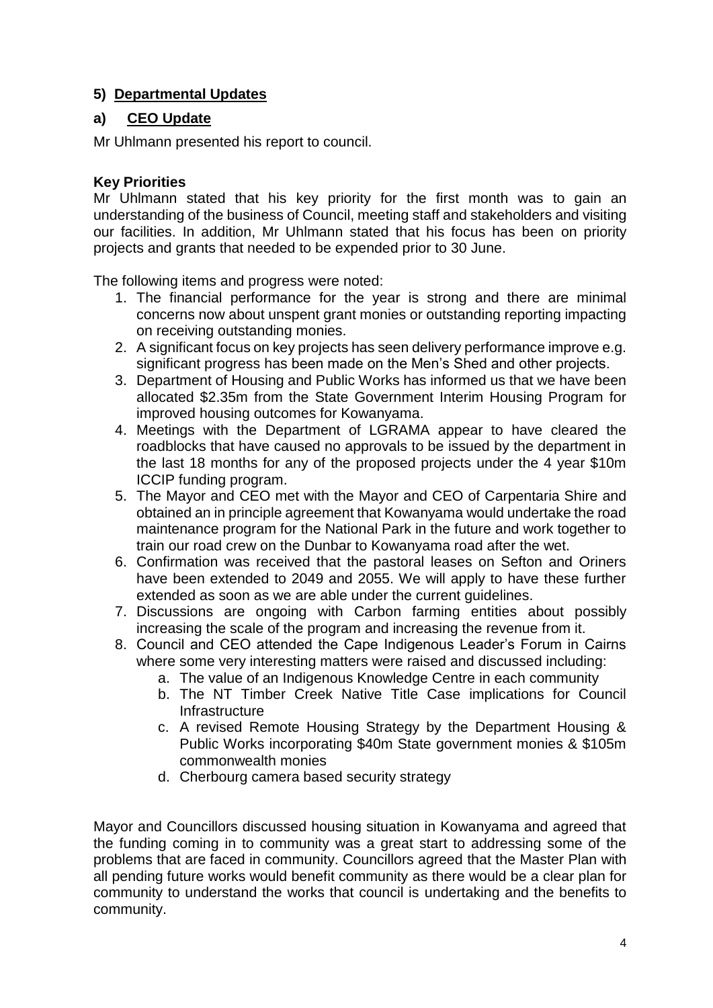# **5) Departmental Updates**

# **a) CEO Update**

Mr Uhlmann presented his report to council.

## **Key Priorities**

Mr Uhlmann stated that his key priority for the first month was to gain an understanding of the business of Council, meeting staff and stakeholders and visiting our facilities. In addition, Mr Uhlmann stated that his focus has been on priority projects and grants that needed to be expended prior to 30 June.

The following items and progress were noted:

- 1. The financial performance for the year is strong and there are minimal concerns now about unspent grant monies or outstanding reporting impacting on receiving outstanding monies.
- 2. A significant focus on key projects has seen delivery performance improve e.g. significant progress has been made on the Men's Shed and other projects.
- 3. Department of Housing and Public Works has informed us that we have been allocated \$2.35m from the State Government Interim Housing Program for improved housing outcomes for Kowanyama.
- 4. Meetings with the Department of LGRAMA appear to have cleared the roadblocks that have caused no approvals to be issued by the department in the last 18 months for any of the proposed projects under the 4 year \$10m ICCIP funding program.
- 5. The Mayor and CEO met with the Mayor and CEO of Carpentaria Shire and obtained an in principle agreement that Kowanyama would undertake the road maintenance program for the National Park in the future and work together to train our road crew on the Dunbar to Kowanyama road after the wet.
- 6. Confirmation was received that the pastoral leases on Sefton and Oriners have been extended to 2049 and 2055. We will apply to have these further extended as soon as we are able under the current guidelines.
- 7. Discussions are ongoing with Carbon farming entities about possibly increasing the scale of the program and increasing the revenue from it.
- 8. Council and CEO attended the Cape Indigenous Leader's Forum in Cairns where some very interesting matters were raised and discussed including:
	- a. The value of an Indigenous Knowledge Centre in each community
	- b. The NT Timber Creek Native Title Case implications for Council Infrastructure
	- c. A revised Remote Housing Strategy by the Department Housing & Public Works incorporating \$40m State government monies & \$105m commonwealth monies
	- d. Cherbourg camera based security strategy

Mayor and Councillors discussed housing situation in Kowanyama and agreed that the funding coming in to community was a great start to addressing some of the problems that are faced in community. Councillors agreed that the Master Plan with all pending future works would benefit community as there would be a clear plan for community to understand the works that council is undertaking and the benefits to community.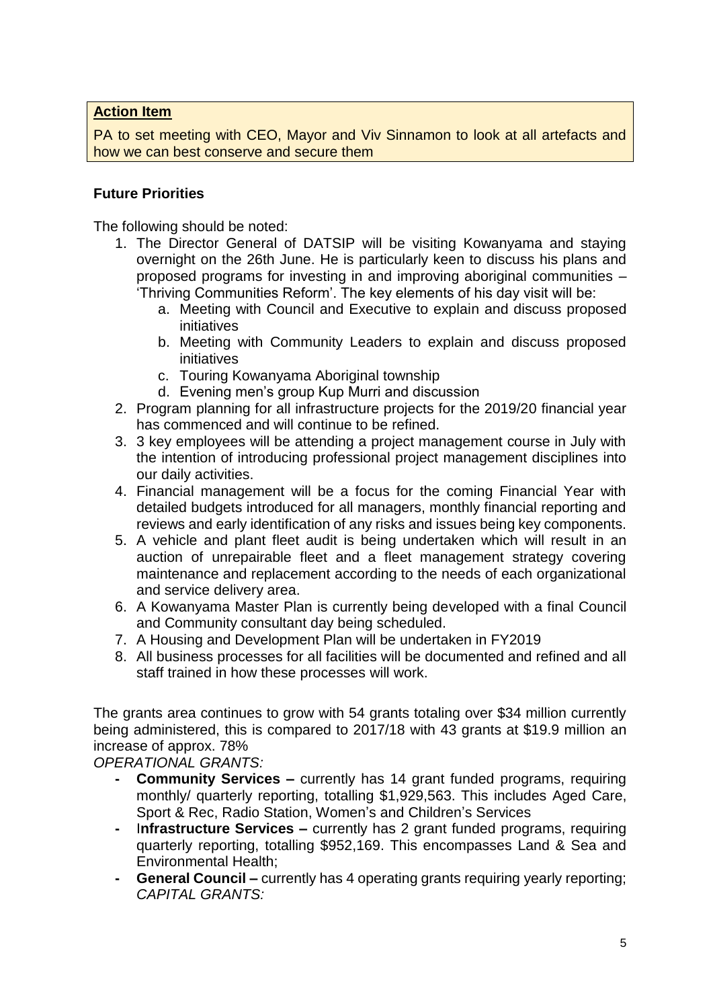PA to set meeting with CEO, Mayor and Viv Sinnamon to look at all artefacts and how we can best conserve and secure them

#### **Future Priorities**

The following should be noted:

- 1. The Director General of DATSIP will be visiting Kowanyama and staying overnight on the 26th June. He is particularly keen to discuss his plans and proposed programs for investing in and improving aboriginal communities – 'Thriving Communities Reform'. The key elements of his day visit will be:
	- a. Meeting with Council and Executive to explain and discuss proposed initiatives
	- b. Meeting with Community Leaders to explain and discuss proposed initiatives
	- c. Touring Kowanyama Aboriginal township
	- d. Evening men's group Kup Murri and discussion
- 2. Program planning for all infrastructure projects for the 2019/20 financial year has commenced and will continue to be refined.
- 3. 3 key employees will be attending a project management course in July with the intention of introducing professional project management disciplines into our daily activities.
- 4. Financial management will be a focus for the coming Financial Year with detailed budgets introduced for all managers, monthly financial reporting and reviews and early identification of any risks and issues being key components.
- 5. A vehicle and plant fleet audit is being undertaken which will result in an auction of unrepairable fleet and a fleet management strategy covering maintenance and replacement according to the needs of each organizational and service delivery area.
- 6. A Kowanyama Master Plan is currently being developed with a final Council and Community consultant day being scheduled.
- 7. A Housing and Development Plan will be undertaken in FY2019
- 8. All business processes for all facilities will be documented and refined and all staff trained in how these processes will work.

The grants area continues to grow with 54 grants totaling over \$34 million currently being administered, this is compared to 2017/18 with 43 grants at \$19.9 million an increase of approx. 78%

*OPERATIONAL GRANTS:*

- **- Community Services –** currently has 14 grant funded programs, requiring monthly/ quarterly reporting, totalling \$1,929,563. This includes Aged Care, Sport & Rec, Radio Station, Women's and Children's Services
- **-** I**nfrastructure Services –** currently has 2 grant funded programs, requiring quarterly reporting, totalling \$952,169. This encompasses Land & Sea and Environmental Health;
- **- General Council –** currently has 4 operating grants requiring yearly reporting; *CAPITAL GRANTS:*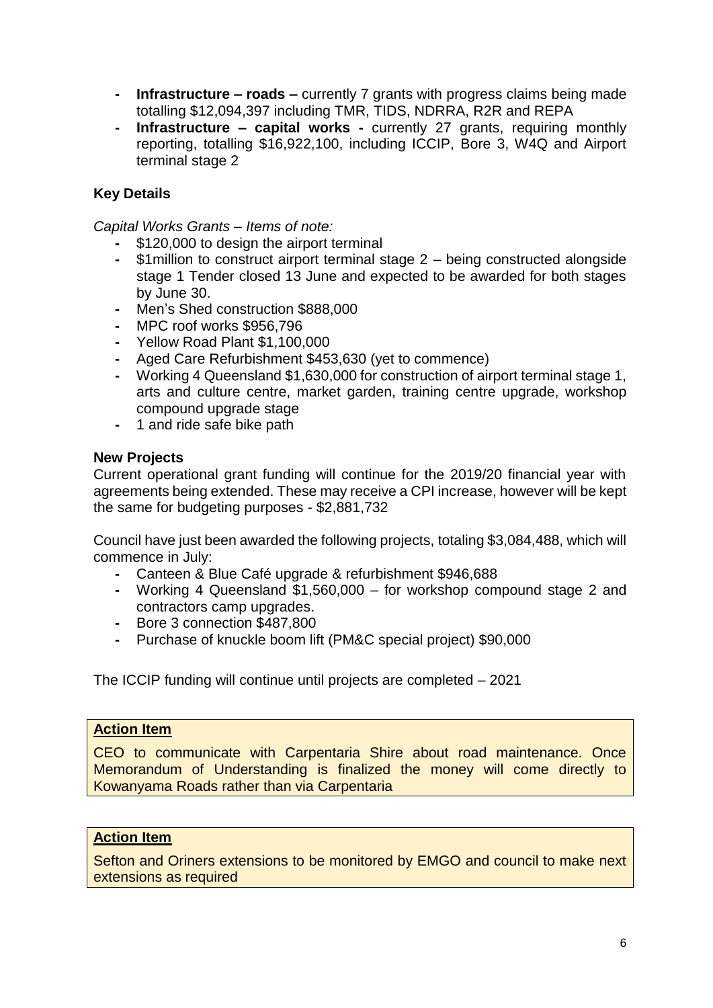- **- Infrastructure – roads –** currently 7 grants with progress claims being made totalling \$12,094,397 including TMR, TIDS, NDRRA, R2R and REPA
- **- Infrastructure – capital works -** currently 27 grants, requiring monthly reporting, totalling \$16,922,100, including ICCIP, Bore 3, W4Q and Airport terminal stage 2

## **Key Details**

*Capital Works Grants – Items of note:*

- **-** \$120,000 to design the airport terminal
- **-** \$1million to construct airport terminal stage 2 being constructed alongside stage 1 Tender closed 13 June and expected to be awarded for both stages by June 30.
- **-** Men's Shed construction \$888,000
- **-** MPC roof works \$956,796
- **-** Yellow Road Plant \$1,100,000
- **-** Aged Care Refurbishment \$453,630 (yet to commence)
- **-** Working 4 Queensland \$1,630,000 for construction of airport terminal stage 1, arts and culture centre, market garden, training centre upgrade, workshop compound upgrade stage
- **-** 1 and ride safe bike path

#### **New Projects**

Current operational grant funding will continue for the 2019/20 financial year with agreements being extended. These may receive a CPI increase, however will be kept the same for budgeting purposes - \$2,881,732

Council have just been awarded the following projects, totaling \$3,084,488, which will commence in July:

- **-** Canteen & Blue Café upgrade & refurbishment \$946,688
- **-** Working 4 Queensland \$1,560,000 for workshop compound stage 2 and contractors camp upgrades.
- **-** Bore 3 connection \$487,800
- **-** Purchase of knuckle boom lift (PM&C special project) \$90,000

The ICCIP funding will continue until projects are completed – 2021

#### **Action Item**

CEO to communicate with Carpentaria Shire about road maintenance. Once Memorandum of Understanding is finalized the money will come directly to Kowanyama Roads rather than via Carpentaria

#### **Action Item**

Sefton and Oriners extensions to be monitored by EMGO and council to make next extensions as required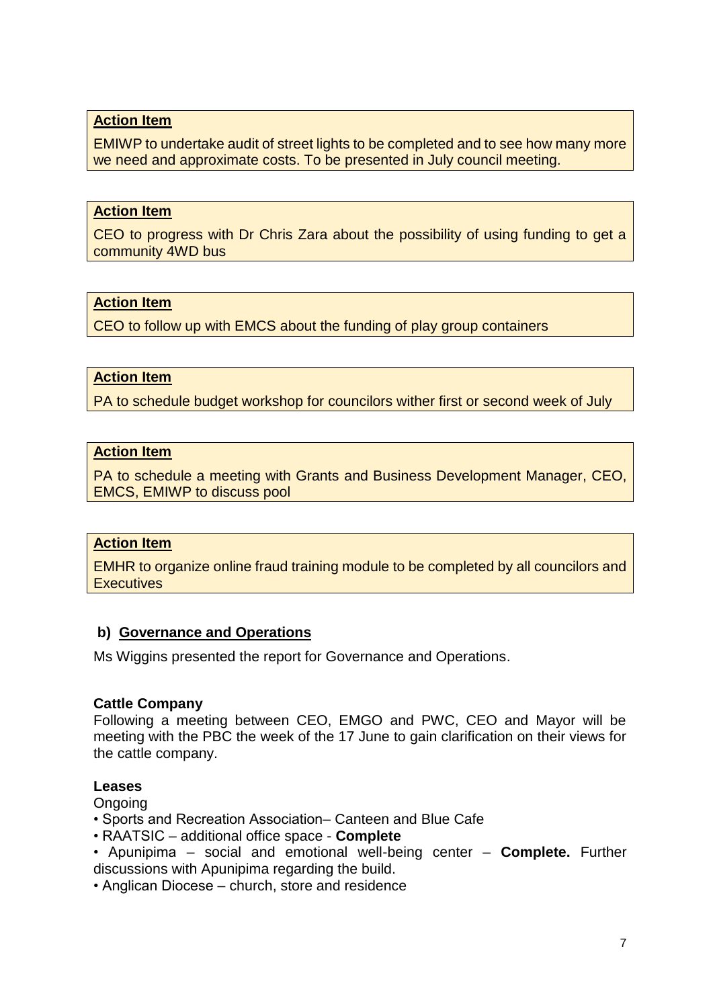EMIWP to undertake audit of street lights to be completed and to see how many more we need and approximate costs. To be presented in July council meeting.

#### **Action Item**

CEO to progress with Dr Chris Zara about the possibility of using funding to get a community 4WD bus

#### **Action Item**

CEO to follow up with EMCS about the funding of play group containers

#### **Action Item**

PA to schedule budget workshop for councilors wither first or second week of July

#### **Action Item**

PA to schedule a meeting with Grants and Business Development Manager, CEO, EMCS, EMIWP to discuss pool

#### **Action Item**

EMHR to organize online fraud training module to be completed by all councilors and **Executives** 

#### **b) Governance and Operations**

Ms Wiggins presented the report for Governance and Operations.

#### **Cattle Company**

Following a meeting between CEO, EMGO and PWC, CEO and Mayor will be meeting with the PBC the week of the 17 June to gain clarification on their views for the cattle company.

#### **Leases**

Ongoing

• Sports and Recreation Association– Canteen and Blue Cafe

• RAATSIC – additional office space - **Complete**

• Apunipima – social and emotional well-being center – **Complete.** Further discussions with Apunipima regarding the build.

• Anglican Diocese – church, store and residence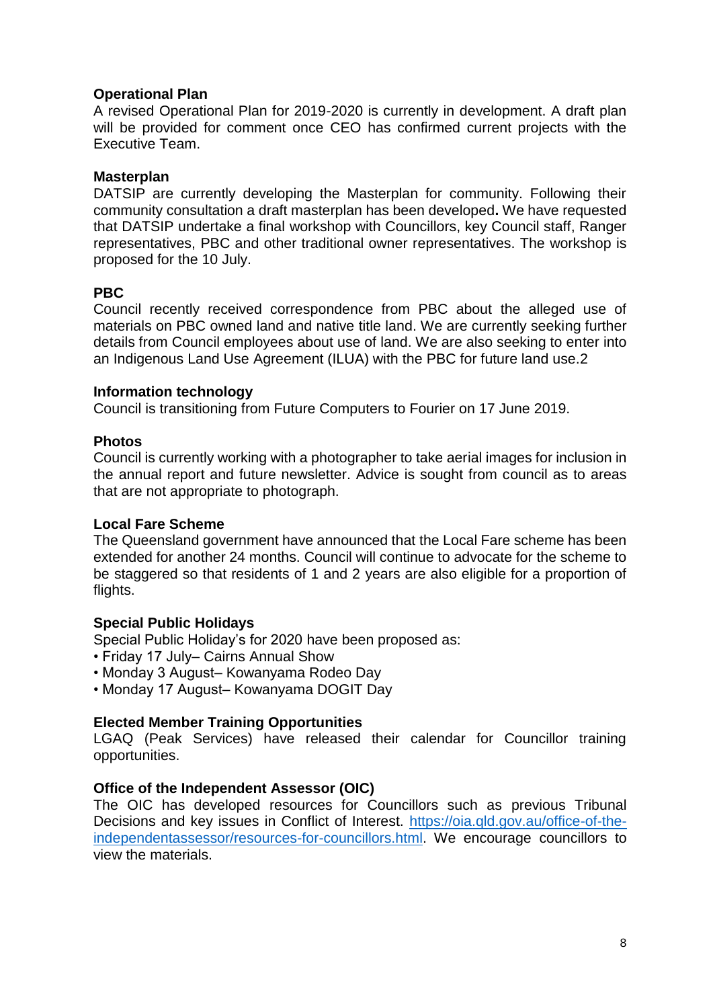#### **Operational Plan**

A revised Operational Plan for 2019-2020 is currently in development. A draft plan will be provided for comment once CEO has confirmed current projects with the Executive Team.

#### **Masterplan**

DATSIP are currently developing the Masterplan for community. Following their community consultation a draft masterplan has been developed**.** We have requested that DATSIP undertake a final workshop with Councillors, key Council staff, Ranger representatives, PBC and other traditional owner representatives. The workshop is proposed for the 10 July.

#### **PBC**

Council recently received correspondence from PBC about the alleged use of materials on PBC owned land and native title land. We are currently seeking further details from Council employees about use of land. We are also seeking to enter into an Indigenous Land Use Agreement (ILUA) with the PBC for future land use.2

#### **Information technology**

Council is transitioning from Future Computers to Fourier on 17 June 2019.

#### **Photos**

Council is currently working with a photographer to take aerial images for inclusion in the annual report and future newsletter. Advice is sought from council as to areas that are not appropriate to photograph.

#### **Local Fare Scheme**

The Queensland government have announced that the Local Fare scheme has been extended for another 24 months. Council will continue to advocate for the scheme to be staggered so that residents of 1 and 2 years are also eligible for a proportion of flights.

#### **Special Public Holidays**

Special Public Holiday's for 2020 have been proposed as:

- Friday 17 July– Cairns Annual Show
- Monday 3 August– Kowanyama Rodeo Day
- Monday 17 August– Kowanyama DOGIT Day

#### **Elected Member Training Opportunities**

LGAQ (Peak Services) have released their calendar for Councillor training opportunities.

#### **Office of the Independent Assessor (OIC)**

The OIC has developed resources for Councillors such as previous Tribunal Decisions and key issues in Conflict of Interest. [https://oia.qld.gov.au/office-of-the](https://oia.qld.gov.au/office-of-the-independentassessor/resources-for-councillors.html)[independentassessor/resources-for-councillors.html.](https://oia.qld.gov.au/office-of-the-independentassessor/resources-for-councillors.html) We encourage councillors to view the materials.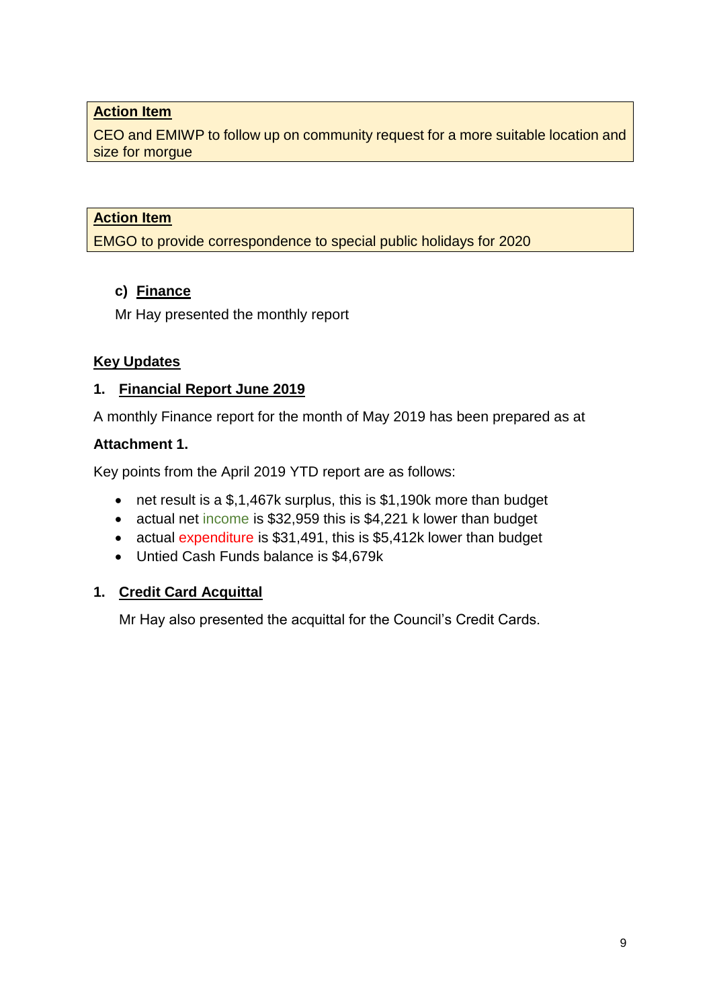CEO and EMIWP to follow up on community request for a more suitable location and size for morgue

# **Action Item**

EMGO to provide correspondence to special public holidays for 2020

# **c) Finance**

Mr Hay presented the monthly report

# **Key Updates**

# **1. Financial Report June 2019**

A monthly Finance report for the month of May 2019 has been prepared as at

## **Attachment 1.**

Key points from the April 2019 YTD report are as follows:

- net result is a \$,1,467k surplus, this is \$1,190k more than budget
- actual net income is \$32,959 this is \$4,221 k lower than budget
- actual expenditure is \$31,491, this is \$5,412k lower than budget
- Untied Cash Funds balance is \$4,679k

# **1. Credit Card Acquittal**

Mr Hay also presented the acquittal for the Council's Credit Cards.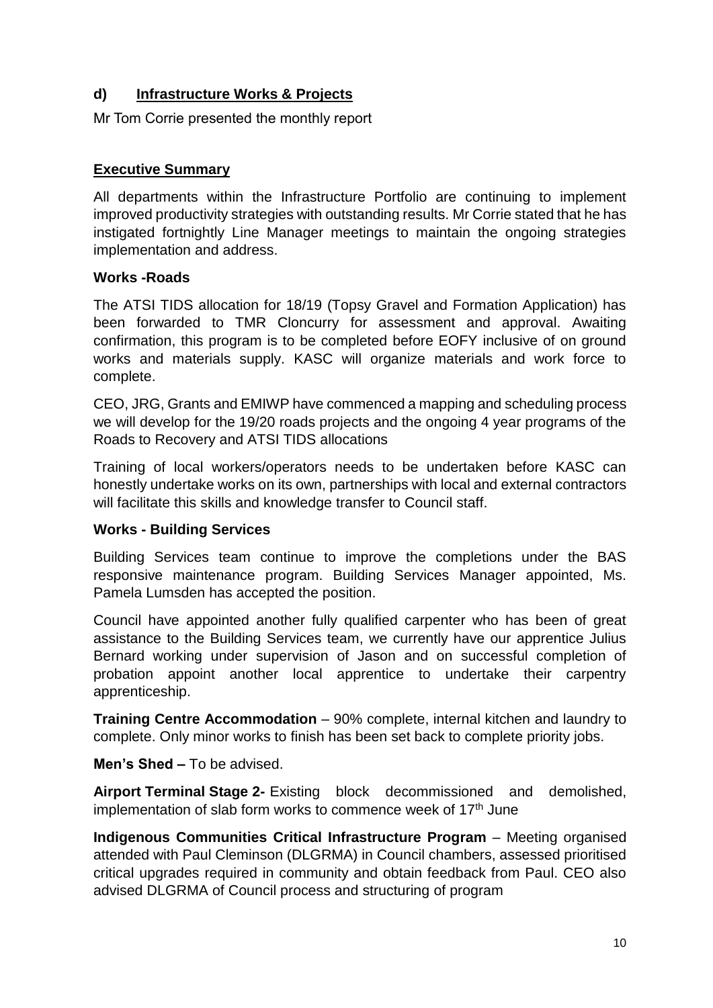# **d) Infrastructure Works & Projects**

Mr Tom Corrie presented the monthly report

#### **Executive Summary**

All departments within the Infrastructure Portfolio are continuing to implement improved productivity strategies with outstanding results. Mr Corrie stated that he has instigated fortnightly Line Manager meetings to maintain the ongoing strategies implementation and address.

#### **Works -Roads**

The ATSI TIDS allocation for 18/19 (Topsy Gravel and Formation Application) has been forwarded to TMR Cloncurry for assessment and approval. Awaiting confirmation, this program is to be completed before EOFY inclusive of on ground works and materials supply. KASC will organize materials and work force to complete.

CEO, JRG, Grants and EMIWP have commenced a mapping and scheduling process we will develop for the 19/20 roads projects and the ongoing 4 year programs of the Roads to Recovery and ATSI TIDS allocations

Training of local workers/operators needs to be undertaken before KASC can honestly undertake works on its own, partnerships with local and external contractors will facilitate this skills and knowledge transfer to Council staff.

## **Works - Building Services**

Building Services team continue to improve the completions under the BAS responsive maintenance program. Building Services Manager appointed, Ms. Pamela Lumsden has accepted the position.

Council have appointed another fully qualified carpenter who has been of great assistance to the Building Services team, we currently have our apprentice Julius Bernard working under supervision of Jason and on successful completion of probation appoint another local apprentice to undertake their carpentry apprenticeship.

**Training Centre Accommodation** – 90% complete, internal kitchen and laundry to complete. Only minor works to finish has been set back to complete priority jobs.

**Men's Shed** *–* To be advised.

**Airport Terminal Stage 2-** Existing block decommissioned and demolished, implementation of slab form works to commence week of  $17<sup>th</sup>$  June

**Indigenous Communities Critical Infrastructure Program** – Meeting organised attended with Paul Cleminson (DLGRMA) in Council chambers, assessed prioritised critical upgrades required in community and obtain feedback from Paul. CEO also advised DLGRMA of Council process and structuring of program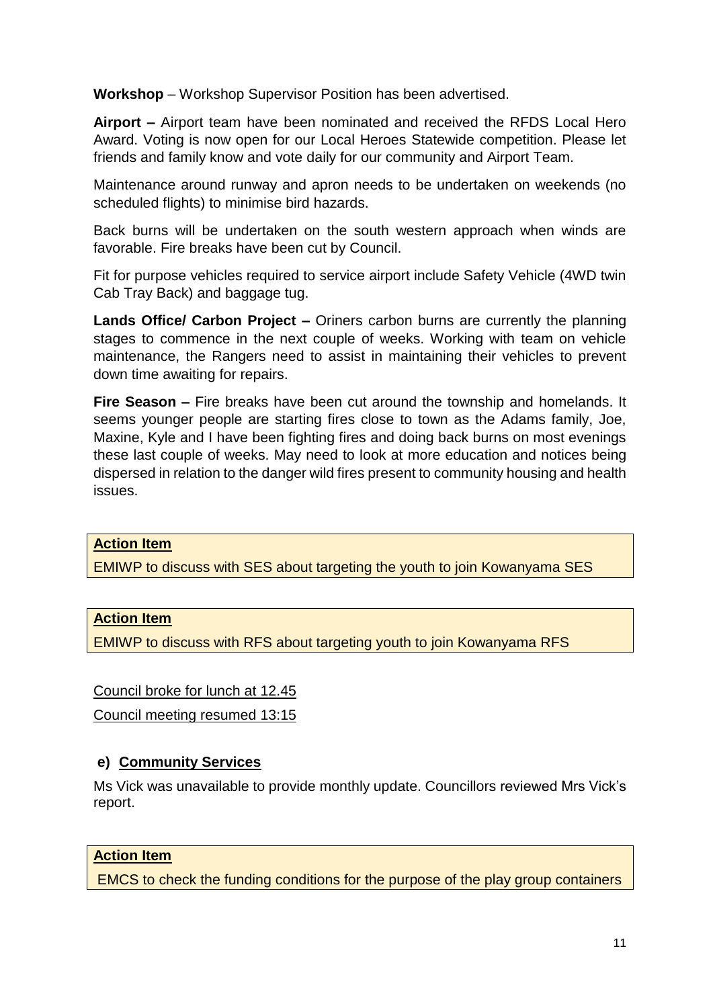**Workshop** – Workshop Supervisor Position has been advertised.

**Airport –** Airport team have been nominated and received the RFDS Local Hero Award. Voting is now open for our Local Heroes Statewide competition. Please let friends and family know and vote daily for our community and Airport Team.

Maintenance around runway and apron needs to be undertaken on weekends (no scheduled flights) to minimise bird hazards.

Back burns will be undertaken on the south western approach when winds are favorable. Fire breaks have been cut by Council.

Fit for purpose vehicles required to service airport include Safety Vehicle (4WD twin Cab Tray Back) and baggage tug.

**Lands Office/ Carbon Project –** Oriners carbon burns are currently the planning stages to commence in the next couple of weeks. Working with team on vehicle maintenance, the Rangers need to assist in maintaining their vehicles to prevent down time awaiting for repairs.

**Fire Season –** Fire breaks have been cut around the township and homelands. It seems younger people are starting fires close to town as the Adams family, Joe, Maxine, Kyle and I have been fighting fires and doing back burns on most evenings these last couple of weeks. May need to look at more education and notices being dispersed in relation to the danger wild fires present to community housing and health issues.

#### **Action Item**

EMIWP to discuss with SES about targeting the youth to join Kowanyama SES

#### **Action Item**

EMIWP to discuss with RFS about targeting youth to join Kowanyama RFS

Council broke for lunch at 12.45

Council meeting resumed 13:15

#### **e) Community Services**

Ms Vick was unavailable to provide monthly update. Councillors reviewed Mrs Vick's report.

#### **Action Item**

EMCS to check the funding conditions for the purpose of the play group containers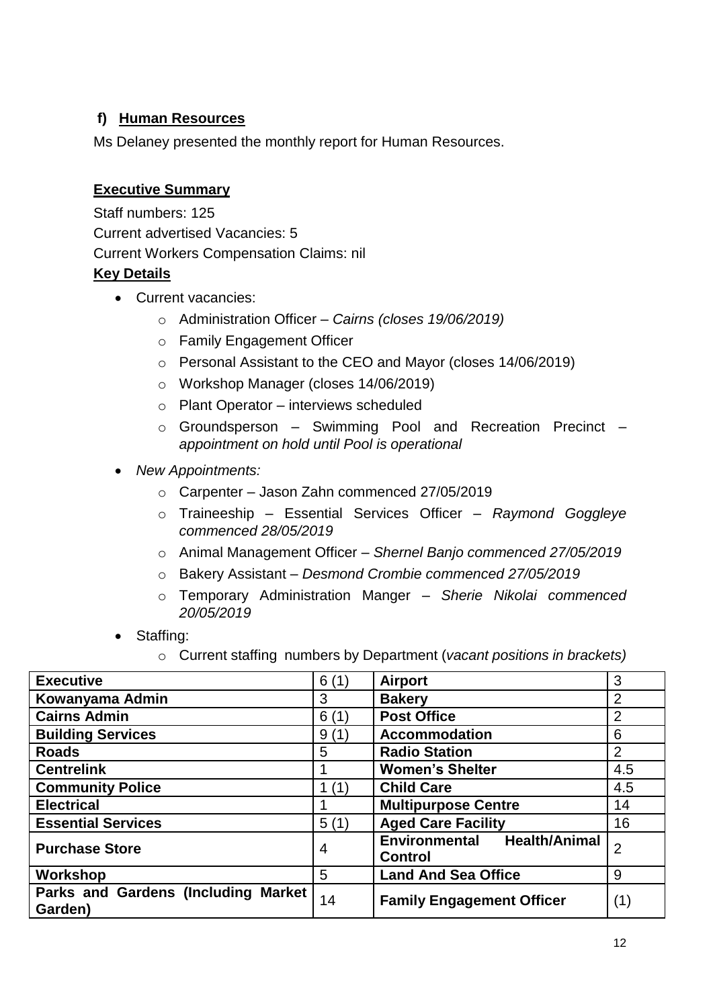# **f) Human Resources**

Ms Delaney presented the monthly report for Human Resources.

# **Executive Summary**

Staff numbers: 125 Current advertised Vacancies: 5 Current Workers Compensation Claims: nil **Key Details**

- Current vacancies:
	- o Administration Officer *– Cairns (closes 19/06/2019)*
	- o Family Engagement Officer
	- o Personal Assistant to the CEO and Mayor (closes 14/06/2019)
	- o Workshop Manager (closes 14/06/2019)
	- o Plant Operator interviews scheduled
	- o Groundsperson Swimming Pool and Recreation Precinct *appointment on hold until Pool is operational*
- *New Appointments:*
	- o Carpenter Jason Zahn commenced 27/05/2019
	- o Traineeship Essential Services Officer *Raymond Goggleye commenced 28/05/2019*
	- o Animal Management Officer *Shernel Banjo commenced 27/05/2019*
	- o Bakery Assistant *Desmond Crombie commenced 27/05/2019*
	- o Temporary Administration Manger *Sherie Nikolai commenced 20/05/2019*
- Staffing:
	- o Current staffing numbers by Department (*vacant positions in brackets)*

| <b>Executive</b>                               | 6(1)           | <b>Airport</b>                                | 3              |
|------------------------------------------------|----------------|-----------------------------------------------|----------------|
| Kowanyama Admin                                | 3              | <b>Bakery</b>                                 | $\overline{2}$ |
| <b>Cairns Admin</b>                            | 6(1)           | <b>Post Office</b>                            | $\overline{2}$ |
| <b>Building Services</b>                       | 9(1)           | <b>Accommodation</b>                          | 6              |
| <b>Roads</b>                                   | 5              | <b>Radio Station</b>                          | $\overline{2}$ |
| <b>Centrelink</b>                              |                | <b>Women's Shelter</b>                        | 4.5            |
| <b>Community Police</b>                        | 1(1)           | <b>Child Care</b>                             | 4.5            |
| <b>Electrical</b>                              |                | <b>Multipurpose Centre</b>                    | 14             |
| <b>Essential Services</b>                      | 5(1)           | <b>Aged Care Facility</b>                     | 16             |
| <b>Purchase Store</b>                          | $\overline{4}$ | Environmental Health/Animal<br><b>Control</b> | $\overline{2}$ |
| Workshop                                       | 5              | <b>Land And Sea Office</b>                    | 9              |
| Parks and Gardens (Including Market<br>Garden) | 14             | <b>Family Engagement Officer</b>              | (1)            |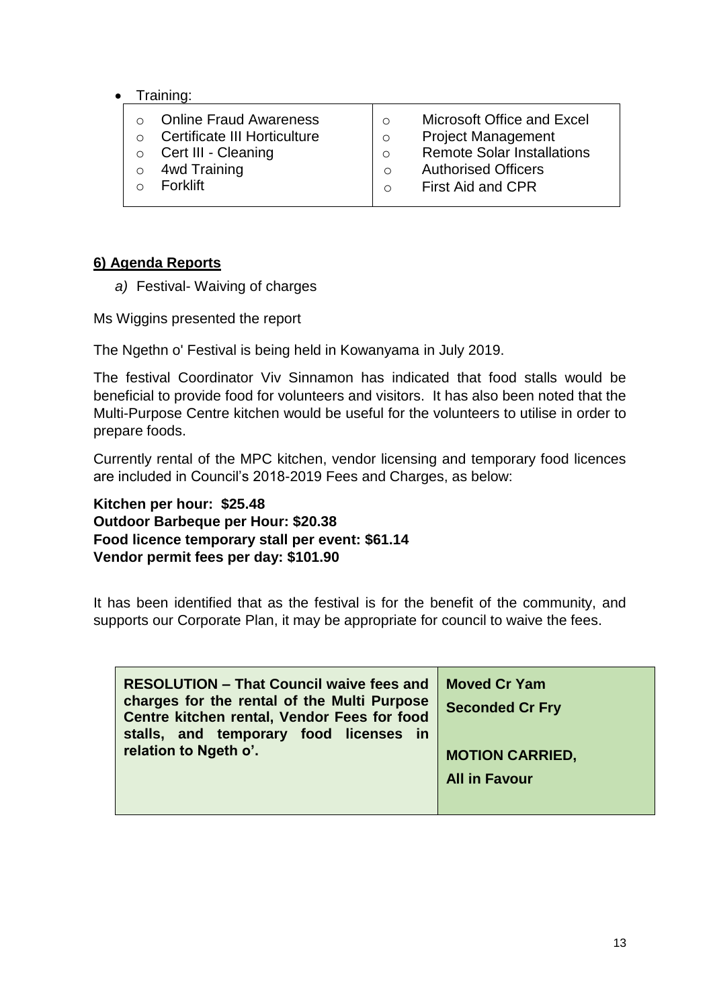#### Training:

- o Online Fraud Awareness
- o Certificate III Horticulture
- o Cert III Cleaning
- o 4wd Training
- o Forklift
- o Microsoft Office and Excel
- o Project Management
- o Remote Solar Installations
- o Authorised Officers
- o First Aid and CPR

## **6) Agenda Reports**

*a)* Festival- Waiving of charges

Ms Wiggins presented the report

The Ngethn o' Festival is being held in Kowanyama in July 2019.

The festival Coordinator Viv Sinnamon has indicated that food stalls would be beneficial to provide food for volunteers and visitors. It has also been noted that the Multi-Purpose Centre kitchen would be useful for the volunteers to utilise in order to prepare foods.

Currently rental of the MPC kitchen, vendor licensing and temporary food licences are included in Council's 2018-2019 Fees and Charges, as below:

**Kitchen per hour: \$25.48 Outdoor Barbeque per Hour: \$20.38 Food licence temporary stall per event: \$61.14 Vendor permit fees per day: \$101.90** 

It has been identified that as the festival is for the benefit of the community, and supports our Corporate Plan, it may be appropriate for council to waive the fees.

| <b>RESOLUTION - That Council waive fees and</b><br>charges for the rental of the Multi Purpose<br>Centre kitchen rental, Vendor Fees for food<br>stalls, and temporary food licenses<br>in in | <b>Moved Cr Yam</b><br><b>Seconded Cr Fry</b> |
|-----------------------------------------------------------------------------------------------------------------------------------------------------------------------------------------------|-----------------------------------------------|
| relation to Ngeth o'.                                                                                                                                                                         | <b>MOTION CARRIED,</b>                        |
|                                                                                                                                                                                               | <b>All in Favour</b>                          |
|                                                                                                                                                                                               |                                               |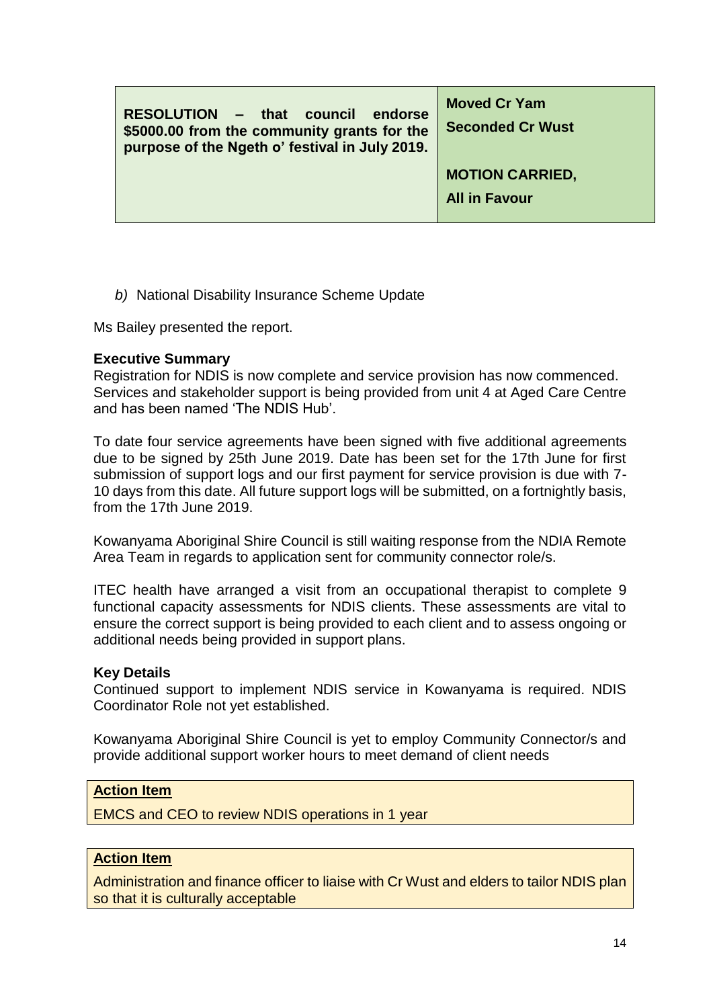| RESOLUTION - that council<br>endorse<br>\$5000.00 from the community grants for the<br>purpose of the Ngeth o' festival in July 2019. | <b>Moved Cr Yam</b><br><b>Seconded Cr Wust</b> |
|---------------------------------------------------------------------------------------------------------------------------------------|------------------------------------------------|
|                                                                                                                                       | <b>MOTION CARRIED,</b>                         |
|                                                                                                                                       | <b>All in Favour</b>                           |

*b)* National Disability Insurance Scheme Update

Ms Bailey presented the report.

#### **Executive Summary**

Registration for NDIS is now complete and service provision has now commenced. Services and stakeholder support is being provided from unit 4 at Aged Care Centre and has been named 'The NDIS Hub'.

To date four service agreements have been signed with five additional agreements due to be signed by 25th June 2019. Date has been set for the 17th June for first submission of support logs and our first payment for service provision is due with 7- 10 days from this date. All future support logs will be submitted, on a fortnightly basis, from the 17th June 2019.

Kowanyama Aboriginal Shire Council is still waiting response from the NDIA Remote Area Team in regards to application sent for community connector role/s.

ITEC health have arranged a visit from an occupational therapist to complete 9 functional capacity assessments for NDIS clients. These assessments are vital to ensure the correct support is being provided to each client and to assess ongoing or additional needs being provided in support plans.

#### **Key Details**

Continued support to implement NDIS service in Kowanyama is required. NDIS Coordinator Role not yet established.

Kowanyama Aboriginal Shire Council is yet to employ Community Connector/s and provide additional support worker hours to meet demand of client needs

#### **Action Item**

EMCS and CEO to review NDIS operations in 1 year

#### **Action Item**

Administration and finance officer to liaise with Cr Wust and elders to tailor NDIS plan so that it is culturally acceptable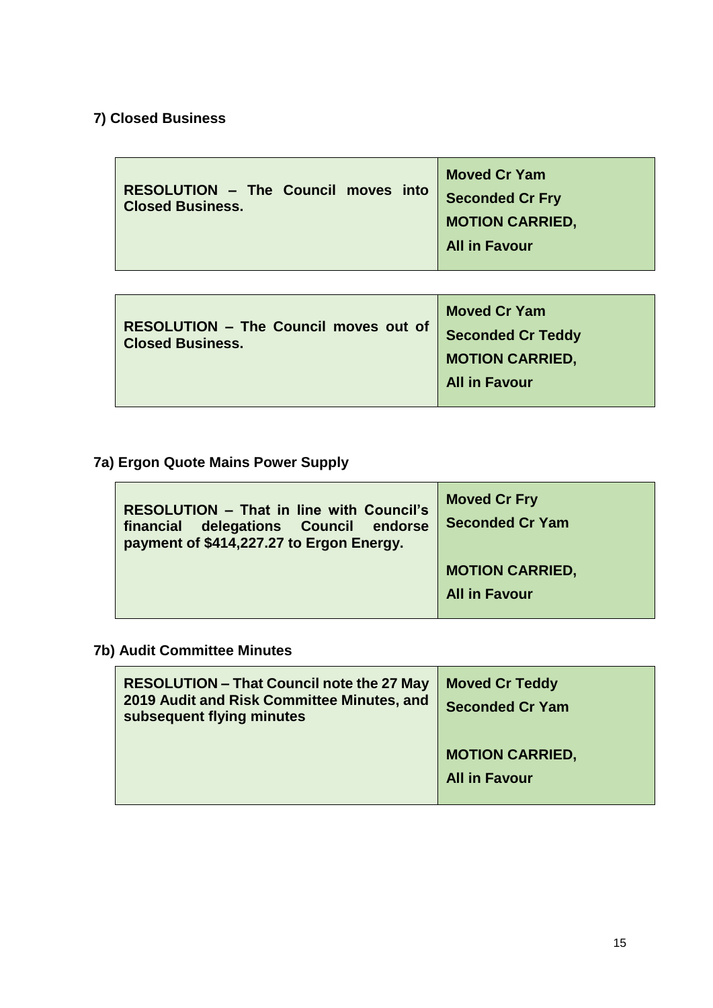# **7) Closed Business**

| <b>RESOLUTION - The Council moves into</b><br><b>Closed Business.</b> | <b>Moved Cr Yam</b><br><b>Seconded Cr Fry</b><br><b>MOTION CARRIED,</b><br><b>All in Favour</b> |
|-----------------------------------------------------------------------|-------------------------------------------------------------------------------------------------|
|-----------------------------------------------------------------------|-------------------------------------------------------------------------------------------------|

| <b>RESOLUTION - The Council moves out of</b><br><b>Closed Business.</b> | <b>Moved Cr Yam</b><br><b>Seconded Cr Teddy</b><br><b>MOTION CARRIED,</b> |
|-------------------------------------------------------------------------|---------------------------------------------------------------------------|
|                                                                         | <b>All in Favour</b>                                                      |

# **7a) Ergon Quote Mains Power Supply**

 $\sim$ 

| <b>RESOLUTION - That in line with Council's</b><br>delegations Council endorse<br>financial<br>payment of \$414,227.27 to Ergon Energy. | <b>Moved Cr Fry</b><br><b>Seconded Cr Yam</b> |
|-----------------------------------------------------------------------------------------------------------------------------------------|-----------------------------------------------|
|                                                                                                                                         | <b>MOTION CARRIED,</b>                        |
|                                                                                                                                         | <b>All in Favour</b>                          |
|                                                                                                                                         |                                               |

# **7b) Audit Committee Minutes**

| <b>RESOLUTION – That Council note the 27 May</b><br>2019 Audit and Risk Committee Minutes, and<br>subsequent flying minutes | <b>Moved Cr Teddy</b><br><b>Seconded Cr Yam</b> |
|-----------------------------------------------------------------------------------------------------------------------------|-------------------------------------------------|
|                                                                                                                             | <b>MOTION CARRIED,</b><br><b>All in Favour</b>  |